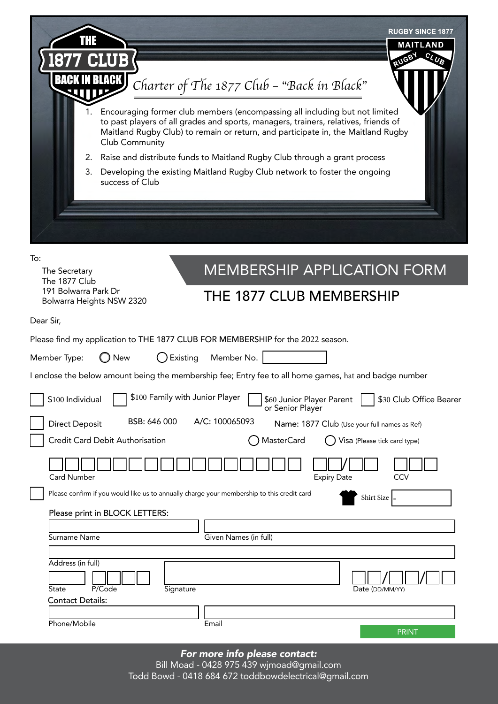| <b>RUGBY SINCE 1877</b><br><b>MAITLAND</b><br>c <sub>I</sub><br><b>FULGEY</b><br>UB<br><b>BACK IN BLACK I</b><br>Charter of The 1877 Club - "Back in Black"<br>Encouraging former club members (encompassing all including but not limited<br>1.<br>to past players of all grades and sports, managers, trainers, relatives, friends of<br>Maitland Rugby Club) to remain or return, and participate in, the Maitland Rugby<br>Club Community<br>Raise and distribute funds to Maitland Rugby Club through a grant process<br>2.<br>3.<br>Developing the existing Maitland Rugby Club network to foster the ongoing<br>success of Club |
|----------------------------------------------------------------------------------------------------------------------------------------------------------------------------------------------------------------------------------------------------------------------------------------------------------------------------------------------------------------------------------------------------------------------------------------------------------------------------------------------------------------------------------------------------------------------------------------------------------------------------------------|
|                                                                                                                                                                                                                                                                                                                                                                                                                                                                                                                                                                                                                                        |
| To:<br><b>MEMBERSHIP APPLICATION FORM</b><br>The Secretary<br>The 1877 Club<br>191 Bolwarra Park Dr<br>THE 1877 CLUB MEMBERSHIP<br>Bolwarra Heights NSW 2320                                                                                                                                                                                                                                                                                                                                                                                                                                                                           |
| Dear Sir,                                                                                                                                                                                                                                                                                                                                                                                                                                                                                                                                                                                                                              |
| Please find my application to THE 1877 CLUB FOR MEMBERSHIP for the 2022 season.<br>Existing<br>Member No.<br>Member Type:<br><b>New</b>                                                                                                                                                                                                                                                                                                                                                                                                                                                                                                |
| I enclose the below amount being the membership fee; Entry fee to all home games, hat and badge number                                                                                                                                                                                                                                                                                                                                                                                                                                                                                                                                 |
| \$100 Family with Junior Player<br>\$30 Club Office Bearer<br>\$100 Individual<br>\$60 Junior Player Parent<br>or Senior Player                                                                                                                                                                                                                                                                                                                                                                                                                                                                                                        |
| A/C: 100065093<br>BSB: 646 000<br><b>Direct Deposit</b><br>Name: 1877 Club (Use your full names as Ref)                                                                                                                                                                                                                                                                                                                                                                                                                                                                                                                                |
| <b>MasterCard</b><br>Credit Card Debit Authorisation<br>Visa (Please tick card type)                                                                                                                                                                                                                                                                                                                                                                                                                                                                                                                                                   |
| <b>Card Number</b><br>CCV<br><b>Expiry Date</b>                                                                                                                                                                                                                                                                                                                                                                                                                                                                                                                                                                                        |
| Please confirm if you would like us to annually charge your membership to this credit card<br>Shirt Size -                                                                                                                                                                                                                                                                                                                                                                                                                                                                                                                             |
| Please print in BLOCK LETTERS:                                                                                                                                                                                                                                                                                                                                                                                                                                                                                                                                                                                                         |
| Given Names (in full)<br>Surname Name                                                                                                                                                                                                                                                                                                                                                                                                                                                                                                                                                                                                  |
| Address (in full)<br>P/Code<br><b>State</b><br>Signature<br>Date (DD/MM/YY)<br><b>Contact Details:</b>                                                                                                                                                                                                                                                                                                                                                                                                                                                                                                                                 |
| Phone/Mobile<br>Email                                                                                                                                                                                                                                                                                                                                                                                                                                                                                                                                                                                                                  |
| <b>PRINT</b>                                                                                                                                                                                                                                                                                                                                                                                                                                                                                                                                                                                                                           |

*For more info please contact:* 

Bill Moad - 0428 975 439 wjmoad@gmail.com Todd Bowd - 0418 684 672 toddbowdelectrical@gmail.com